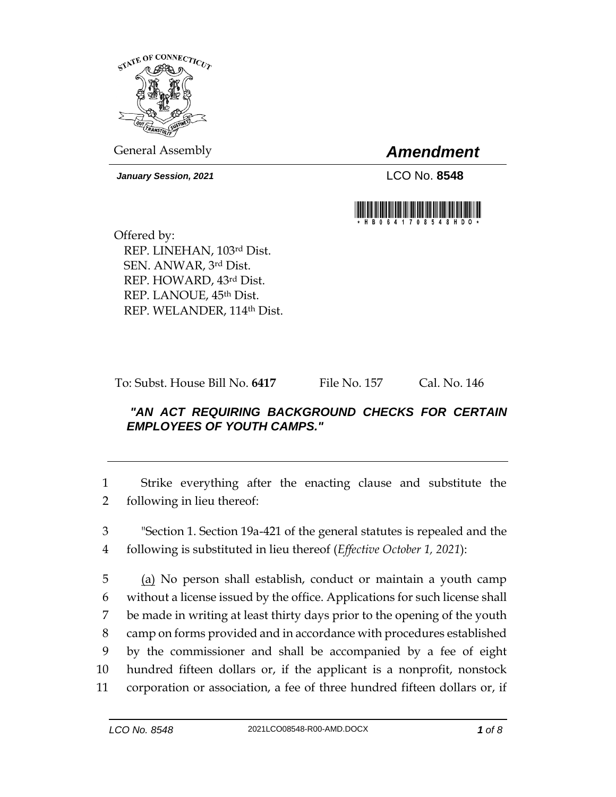

General Assembly *Amendment*

*January Session, 2021* LCO No. **8548**



Offered by: REP. LINEHAN, 103rd Dist. SEN. ANWAR, 3rd Dist. REP. HOWARD, 43rd Dist. REP. LANOUE, 45th Dist. REP. WELANDER, 114th Dist.

To: Subst. House Bill No. **6417** File No. 157 Cal. No. 146

## *"AN ACT REQUIRING BACKGROUND CHECKS FOR CERTAIN EMPLOYEES OF YOUTH CAMPS."*

1 Strike everything after the enacting clause and substitute the 2 following in lieu thereof:

3 "Section 1. Section 19a-421 of the general statutes is repealed and the 4 following is substituted in lieu thereof (*Effective October 1, 2021*):

 (a) No person shall establish, conduct or maintain a youth camp without a license issued by the office. Applications for such license shall be made in writing at least thirty days prior to the opening of the youth camp on forms provided and in accordance with procedures established by the commissioner and shall be accompanied by a fee of eight hundred fifteen dollars or, if the applicant is a nonprofit, nonstock corporation or association, a fee of three hundred fifteen dollars or, if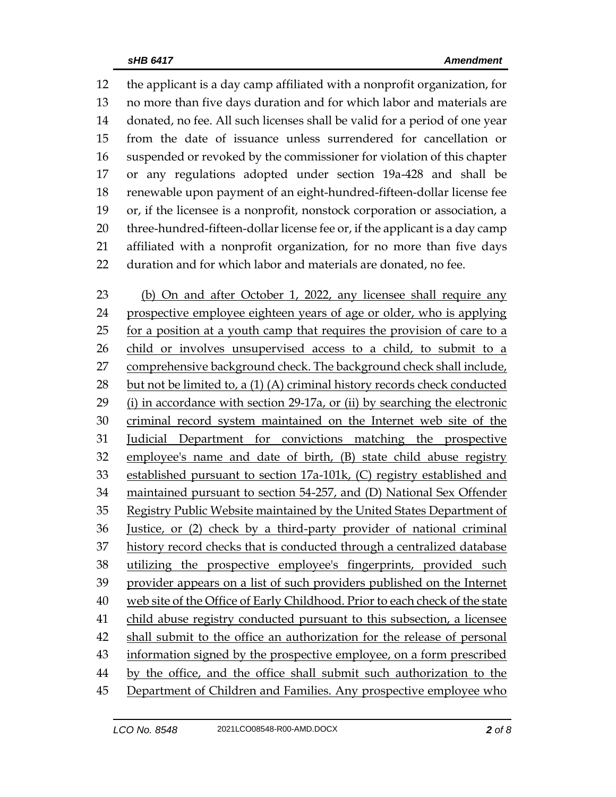the applicant is a day camp affiliated with a nonprofit organization, for no more than five days duration and for which labor and materials are donated, no fee. All such licenses shall be valid for a period of one year from the date of issuance unless surrendered for cancellation or suspended or revoked by the commissioner for violation of this chapter or any regulations adopted under section 19a-428 and shall be renewable upon payment of an eight-hundred-fifteen-dollar license fee or, if the licensee is a nonprofit, nonstock corporation or association, a three-hundred-fifteen-dollar license fee or, if the applicant is a day camp affiliated with a nonprofit organization, for no more than five days duration and for which labor and materials are donated, no fee.

 (b) On and after October 1, 2022, any licensee shall require any prospective employee eighteen years of age or older, who is applying for a position at a youth camp that requires the provision of care to a child or involves unsupervised access to a child, to submit to a comprehensive background check. The background check shall include, but not be limited to, a (1) (A) criminal history records check conducted (i) in accordance with section 29-17a, or (ii) by searching the electronic criminal record system maintained on the Internet web site of the Judicial Department for convictions matching the prospective employee's name and date of birth, (B) state child abuse registry established pursuant to section 17a-101k, (C) registry established and maintained pursuant to section 54-257, and (D) National Sex Offender Registry Public Website maintained by the United States Department of Justice, or (2) check by a third-party provider of national criminal history record checks that is conducted through a centralized database utilizing the prospective employee's fingerprints, provided such provider appears on a list of such providers published on the Internet web site of the Office of Early Childhood. Prior to each check of the state child abuse registry conducted pursuant to this subsection, a licensee shall submit to the office an authorization for the release of personal information signed by the prospective employee, on a form prescribed by the office, and the office shall submit such authorization to the 45 Department of Children and Families. Any prospective employee who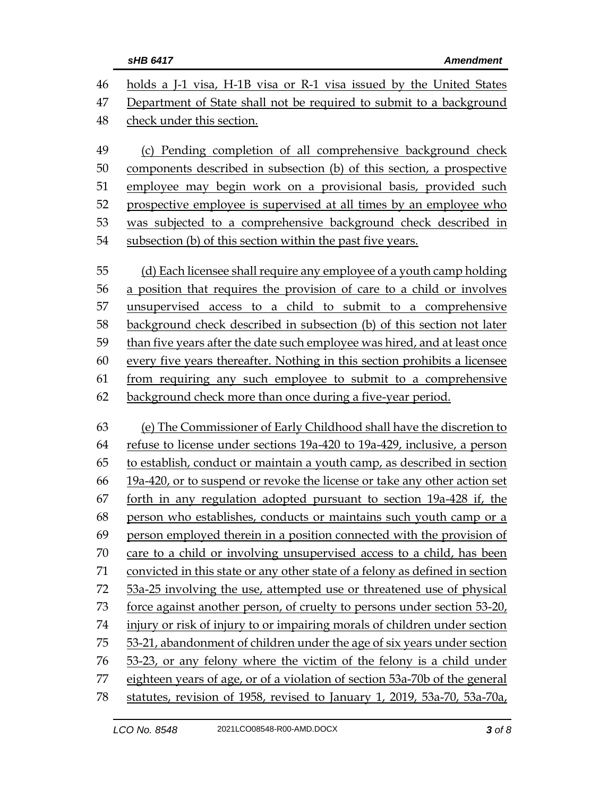| 46 | holds a J-1 visa, H-1B visa or R-1 visa issued by the United States          |  |  |
|----|------------------------------------------------------------------------------|--|--|
| 47 | Department of State shall not be required to submit to a background          |  |  |
| 48 | check under this section.                                                    |  |  |
| 49 | (c) Pending completion of all comprehensive background check                 |  |  |
| 50 | components described in subsection (b) of this section, a prospective        |  |  |
| 51 | employee may begin work on a provisional basis, provided such                |  |  |
| 52 | prospective employee is supervised at all times by an employee who           |  |  |
| 53 | was subjected to a comprehensive background check described in               |  |  |
| 54 | subsection (b) of this section within the past five years.                   |  |  |
| 55 | (d) Each licensee shall require any employee of a youth camp holding         |  |  |
| 56 | a position that requires the provision of care to a child or involves        |  |  |
| 57 | unsupervised access to a child to submit to a comprehensive                  |  |  |
| 58 | background check described in subsection (b) of this section not later       |  |  |
| 59 | than five years after the date such employee was hired, and at least once    |  |  |
| 60 | every five years thereafter. Nothing in this section prohibits a licensee    |  |  |
| 61 | from requiring any such employee to submit to a comprehensive                |  |  |
| 62 | background check more than once during a five-year period.                   |  |  |
| 63 | (e) The Commissioner of Early Childhood shall have the discretion to         |  |  |
| 64 | refuse to license under sections 19a-420 to 19a-429, inclusive, a person     |  |  |
| 65 | to establish, conduct or maintain a youth camp, as described in section      |  |  |
| 66 | 19a-420, or to suspend or revoke the license or take any other action set    |  |  |
| 67 | forth in any regulation adopted pursuant to section 19a-428 if, the          |  |  |
| 68 | person who establishes, conducts or maintains such youth camp or a           |  |  |
| 69 | person employed therein in a position connected with the provision of        |  |  |
| 70 | care to a child or involving unsupervised access to a child, has been        |  |  |
| 71 | convicted in this state or any other state of a felony as defined in section |  |  |
| 72 | 53a-25 involving the use, attempted use or threatened use of physical        |  |  |
| 73 | force against another person, of cruelty to persons under section 53-20,     |  |  |
| 74 | injury or risk of injury to or impairing morals of children under section    |  |  |
| 75 | 53-21, abandonment of children under the age of six years under section      |  |  |
| 76 | 53-23, or any felony where the victim of the felony is a child under         |  |  |
| 77 | eighteen years of age, or of a violation of section 53a-70b of the general   |  |  |
| 78 | statutes, revision of 1958, revised to January 1, 2019, 53a-70, 53a-70a,     |  |  |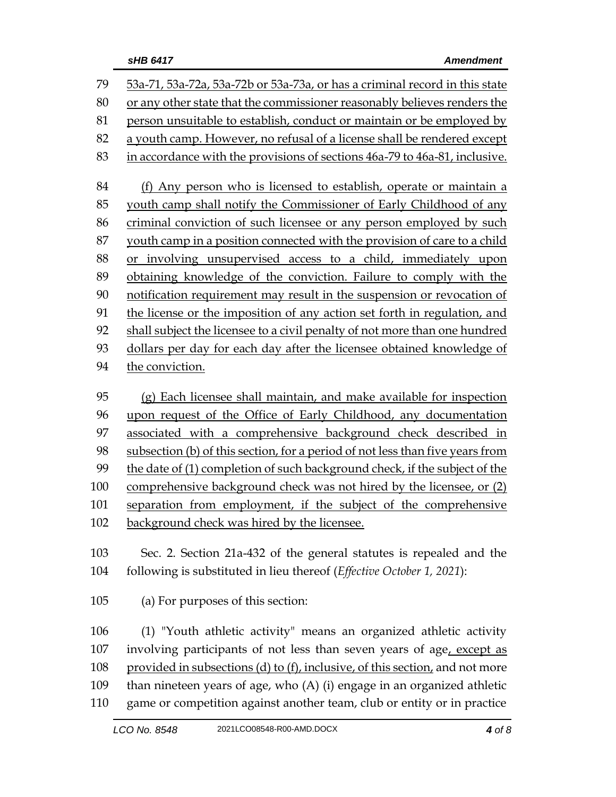| 79  | 53a-71, 53a-72a, 53a-72b or 53a-73a, or has a criminal record in this state   |  |  |  |
|-----|-------------------------------------------------------------------------------|--|--|--|
| 80  | or any other state that the commissioner reasonably believes renders the      |  |  |  |
| 81  | person unsuitable to establish, conduct or maintain or be employed by         |  |  |  |
| 82  | a youth camp. However, no refusal of a license shall be rendered except       |  |  |  |
| 83  | in accordance with the provisions of sections 46a-79 to 46a-81, inclusive.    |  |  |  |
|     |                                                                               |  |  |  |
| 84  | (f) Any person who is licensed to establish, operate or maintain a            |  |  |  |
| 85  | youth camp shall notify the Commissioner of Early Childhood of any            |  |  |  |
| 86  | criminal conviction of such licensee or any person employed by such           |  |  |  |
| 87  | youth camp in a position connected with the provision of care to a child      |  |  |  |
| 88  | or involving unsupervised access to a child, immediately upon                 |  |  |  |
| 89  | obtaining knowledge of the conviction. Failure to comply with the             |  |  |  |
| 90  | notification requirement may result in the suspension or revocation of        |  |  |  |
| 91  | the license or the imposition of any action set forth in regulation, and      |  |  |  |
| 92  | shall subject the licensee to a civil penalty of not more than one hundred    |  |  |  |
| 93  | dollars per day for each day after the licensee obtained knowledge of         |  |  |  |
| 94  | the conviction.                                                               |  |  |  |
|     |                                                                               |  |  |  |
| 95  | (g) Each licensee shall maintain, and make available for inspection           |  |  |  |
| 96  | upon request of the Office of Early Childhood, any documentation              |  |  |  |
| 97  | associated with a comprehensive background check described in                 |  |  |  |
| 98  | subsection (b) of this section, for a period of not less than five years from |  |  |  |
| 99  | the date of (1) completion of such background check, if the subject of the    |  |  |  |
| 100 | comprehensive background check was not hired by the licensee, or (2)          |  |  |  |
| 101 | separation from employment, if the subject of the comprehensive               |  |  |  |
| 102 | background check was hired by the licensee.                                   |  |  |  |
| 103 | Sec. 2. Section 21a-432 of the general statutes is repealed and the           |  |  |  |
| 104 | following is substituted in lieu thereof (Effective October 1, 2021):         |  |  |  |
|     |                                                                               |  |  |  |
| 105 | (a) For purposes of this section:                                             |  |  |  |
| 106 | (1) "Youth athletic activity" means an organized athletic activity            |  |  |  |
| 107 | involving participants of not less than seven years of age, except as         |  |  |  |
| 108 | provided in subsections (d) to (f), inclusive, of this section, and not more  |  |  |  |
| 109 | than nineteen years of age, who $(A)$ (i) engage in an organized athletic     |  |  |  |
| 110 | game or competition against another team, club or entity or in practice       |  |  |  |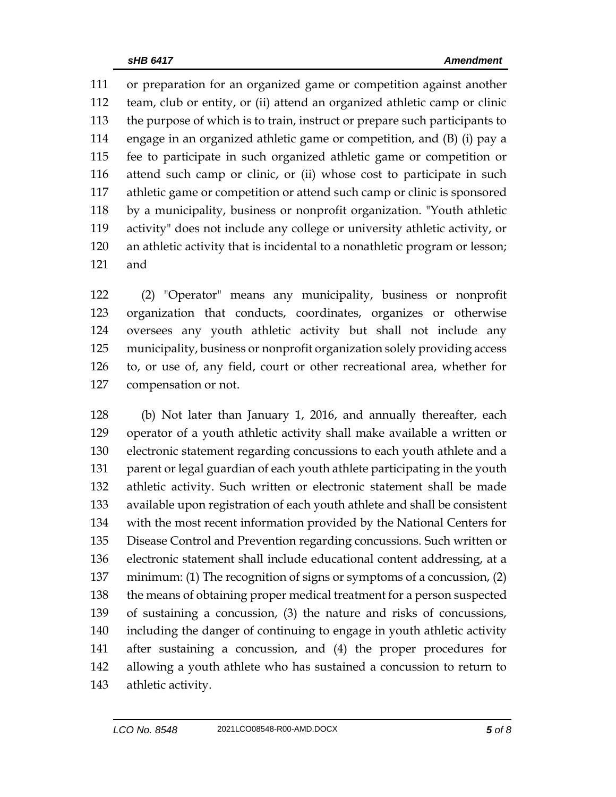or preparation for an organized game or competition against another team, club or entity, or (ii) attend an organized athletic camp or clinic the purpose of which is to train, instruct or prepare such participants to engage in an organized athletic game or competition, and (B) (i) pay a fee to participate in such organized athletic game or competition or attend such camp or clinic, or (ii) whose cost to participate in such athletic game or competition or attend such camp or clinic is sponsored by a municipality, business or nonprofit organization. "Youth athletic activity" does not include any college or university athletic activity, or an athletic activity that is incidental to a nonathletic program or lesson; and

 (2) "Operator" means any municipality, business or nonprofit organization that conducts, coordinates, organizes or otherwise oversees any youth athletic activity but shall not include any municipality, business or nonprofit organization solely providing access to, or use of, any field, court or other recreational area, whether for compensation or not.

 (b) Not later than January 1, 2016, and annually thereafter, each operator of a youth athletic activity shall make available a written or electronic statement regarding concussions to each youth athlete and a 131 parent or legal guardian of each youth athlete participating in the youth athletic activity. Such written or electronic statement shall be made available upon registration of each youth athlete and shall be consistent with the most recent information provided by the National Centers for Disease Control and Prevention regarding concussions. Such written or electronic statement shall include educational content addressing, at a minimum: (1) The recognition of signs or symptoms of a concussion, (2) 138 the means of obtaining proper medical treatment for a person suspected of sustaining a concussion, (3) the nature and risks of concussions, including the danger of continuing to engage in youth athletic activity after sustaining a concussion, and (4) the proper procedures for allowing a youth athlete who has sustained a concussion to return to athletic activity.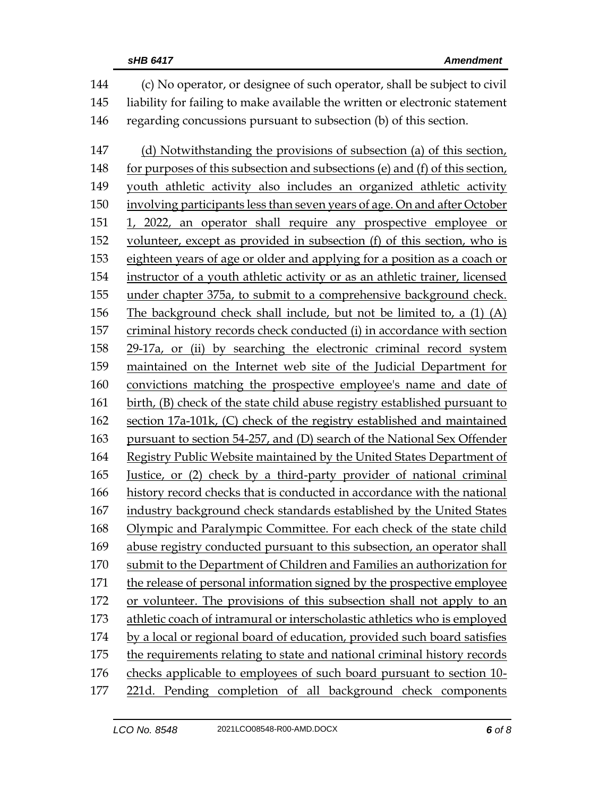| 144 | (c) No operator, or designee of such operator, shall be subject to civil     |  |  |
|-----|------------------------------------------------------------------------------|--|--|
| 145 | liability for failing to make available the written or electronic statement  |  |  |
| 146 | regarding concussions pursuant to subsection (b) of this section.            |  |  |
| 147 | (d) Notwithstanding the provisions of subsection (a) of this section,        |  |  |
| 148 | for purposes of this subsection and subsections (e) and (f) of this section, |  |  |
| 149 | youth athletic activity also includes an organized athletic activity         |  |  |
| 150 | involving participants less than seven years of age. On and after October    |  |  |
| 151 | 1, 2022, an operator shall require any prospective employee or               |  |  |
| 152 | volunteer, except as provided in subsection (f) of this section, who is      |  |  |
| 153 | eighteen years of age or older and applying for a position as a coach or     |  |  |
| 154 | instructor of a youth athletic activity or as an athletic trainer, licensed  |  |  |
| 155 | under chapter 375a, to submit to a comprehensive background check.           |  |  |
| 156 | The background check shall include, but not be limited to, a (1) (A)         |  |  |
| 157 | criminal history records check conducted (i) in accordance with section      |  |  |
| 158 | 29-17a, or (ii) by searching the electronic criminal record system           |  |  |
| 159 | maintained on the Internet web site of the Judicial Department for           |  |  |
| 160 | convictions matching the prospective employee's name and date of             |  |  |
| 161 | birth, (B) check of the state child abuse registry established pursuant to   |  |  |
| 162 | section 17a-101k, (C) check of the registry established and maintained       |  |  |
| 163 | pursuant to section 54-257, and (D) search of the National Sex Offender      |  |  |
| 164 | Registry Public Website maintained by the United States Department of        |  |  |
| 165 | Justice, or (2) check by a third-party provider of national criminal         |  |  |
| 166 | history record checks that is conducted in accordance with the national      |  |  |
| 167 | industry background check standards established by the United States         |  |  |
| 168 | Olympic and Paralympic Committee. For each check of the state child          |  |  |
| 169 | abuse registry conducted pursuant to this subsection, an operator shall      |  |  |
| 170 | submit to the Department of Children and Families an authorization for       |  |  |
| 171 | the release of personal information signed by the prospective employee       |  |  |
| 172 | or volunteer. The provisions of this subsection shall not apply to an        |  |  |
| 173 | athletic coach of intramural or interscholastic athletics who is employed    |  |  |
| 174 | by a local or regional board of education, provided such board satisfies     |  |  |
| 175 | the requirements relating to state and national criminal history records     |  |  |
| 176 | checks applicable to employees of such board pursuant to section 10-         |  |  |
| 177 | 221d. Pending completion of all background check components                  |  |  |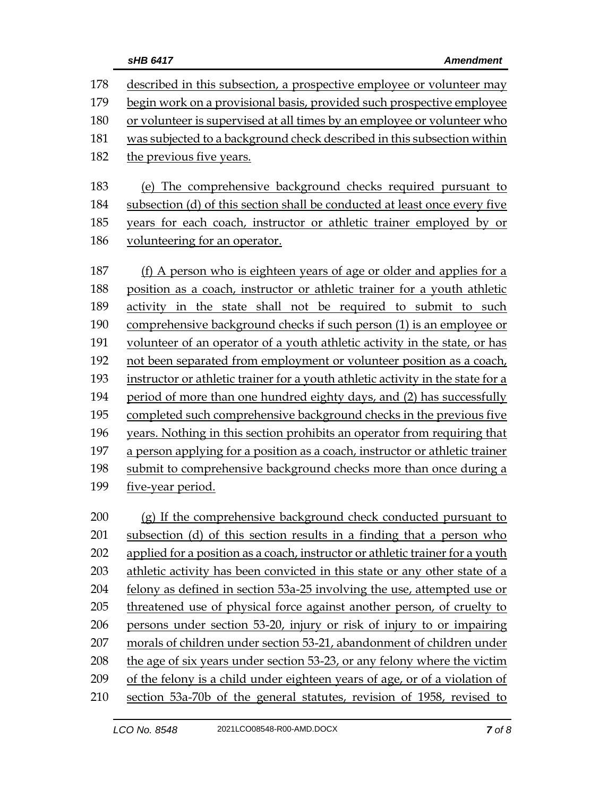| 178 | described in this subsection, a prospective employee or volunteer may           |  |  |  |
|-----|---------------------------------------------------------------------------------|--|--|--|
| 179 | begin work on a provisional basis, provided such prospective employee           |  |  |  |
| 180 | or volunteer is supervised at all times by an employee or volunteer who         |  |  |  |
| 181 | was subjected to a background check described in this subsection within         |  |  |  |
| 182 | the previous five years.                                                        |  |  |  |
|     |                                                                                 |  |  |  |
| 183 | (e) The comprehensive background checks required pursuant to                    |  |  |  |
| 184 | subsection (d) of this section shall be conducted at least once every five      |  |  |  |
| 185 | years for each coach, instructor or athletic trainer employed by or             |  |  |  |
| 186 | volunteering for an operator.                                                   |  |  |  |
| 187 | (f) A person who is eighteen years of age or older and applies for a            |  |  |  |
| 188 | position as a coach, instructor or athletic trainer for a youth athletic        |  |  |  |
| 189 | activity in the state shall not be required to submit to such                   |  |  |  |
| 190 | comprehensive background checks if such person (1) is an employee or            |  |  |  |
| 191 | volunteer of an operator of a youth athletic activity in the state, or has      |  |  |  |
| 192 | not been separated from employment or volunteer position as a coach,            |  |  |  |
| 193 | instructor or athletic trainer for a youth athletic activity in the state for a |  |  |  |
| 194 | period of more than one hundred eighty days, and (2) has successfully           |  |  |  |
| 195 | completed such comprehensive background checks in the previous five             |  |  |  |
| 196 | years. Nothing in this section prohibits an operator from requiring that        |  |  |  |
| 197 | a person applying for a position as a coach, instructor or athletic trainer     |  |  |  |
| 198 | submit to comprehensive background checks more than once during a               |  |  |  |
| 199 | five-year period.                                                               |  |  |  |
|     |                                                                                 |  |  |  |
| 200 | (g) If the comprehensive background check conducted pursuant to                 |  |  |  |
| 201 | subsection (d) of this section results in a finding that a person who           |  |  |  |
| 202 | applied for a position as a coach, instructor or athletic trainer for a youth   |  |  |  |
| 203 | athletic activity has been convicted in this state or any other state of a      |  |  |  |
| 204 | felony as defined in section 53a-25 involving the use, attempted use or         |  |  |  |
| 205 | threatened use of physical force against another person, of cruelty to          |  |  |  |
| 206 | persons under section 53-20, injury or risk of injury to or impairing           |  |  |  |
| 207 | morals of children under section 53-21, abandonment of children under           |  |  |  |
| 208 | the age of six years under section 53-23, or any felony where the victim        |  |  |  |
| 209 | of the felony is a child under eighteen years of age, or of a violation of      |  |  |  |
| 210 | section 53a-70b of the general statutes, revision of 1958, revised to           |  |  |  |